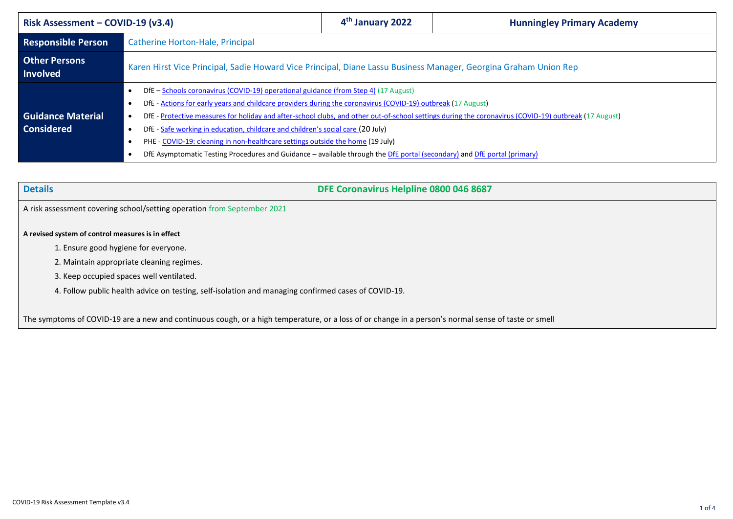| Risk Assessment – COVID-19 (v3.4)             |                                                                                                                                                                                                                                                                                                                                                                                                                                                                                                                                                                                                                                                                    | 4 <sup>th</sup> January 2022                                                                                     | <b>Hunningley Primary Academy</b> |  |  |
|-----------------------------------------------|--------------------------------------------------------------------------------------------------------------------------------------------------------------------------------------------------------------------------------------------------------------------------------------------------------------------------------------------------------------------------------------------------------------------------------------------------------------------------------------------------------------------------------------------------------------------------------------------------------------------------------------------------------------------|------------------------------------------------------------------------------------------------------------------|-----------------------------------|--|--|
| <b>Responsible Person</b>                     | Catherine Horton-Hale, Principal                                                                                                                                                                                                                                                                                                                                                                                                                                                                                                                                                                                                                                   |                                                                                                                  |                                   |  |  |
| <b>Other Persons</b><br><b>Involved</b>       |                                                                                                                                                                                                                                                                                                                                                                                                                                                                                                                                                                                                                                                                    | Karen Hirst Vice Principal, Sadie Howard Vice Principal, Diane Lassu Business Manager, Georgina Graham Union Rep |                                   |  |  |
| <b>Guidance Material</b><br><b>Considered</b> | DfE – Schools coronavirus (COVID-19) operational guidance (from Step 4) (17 August)<br>DfE - Actions for early years and childcare providers during the coronavirus (COVID-19) outbreak (17 August)<br>٠<br>DfE - Protective measures for holiday and after-school clubs, and other out-of-school settings during the coronavirus (COVID-19) outbreak (17 August)<br>DfE - Safe working in education, childcare and children's social care (20 July)<br>PHE - COVID-19: cleaning in non-healthcare settings outside the home (19 July)<br>DfE Asymptomatic Testing Procedures and Guidance - available through the DfE portal (secondary) and DfE portal (primary) |                                                                                                                  |                                   |  |  |

| <b>Details</b>                                                                                                                                      | DFE Coronavirus Helpline 0800 046 8687 |  |  |  |
|-----------------------------------------------------------------------------------------------------------------------------------------------------|----------------------------------------|--|--|--|
| A risk assessment covering school/setting operation from September 2021                                                                             |                                        |  |  |  |
| A revised system of control measures is in effect                                                                                                   |                                        |  |  |  |
| 1. Ensure good hygiene for everyone.                                                                                                                |                                        |  |  |  |
| 2. Maintain appropriate cleaning regimes.                                                                                                           |                                        |  |  |  |
| 3. Keep occupied spaces well ventilated.                                                                                                            |                                        |  |  |  |
| 4. Follow public health advice on testing, self-isolation and managing confirmed cases of COVID-19.                                                 |                                        |  |  |  |
|                                                                                                                                                     |                                        |  |  |  |
| The symptoms of COVID-19 are a new and continuous cough, or a high temperature, or a loss of or change in a person's normal sense of taste or smell |                                        |  |  |  |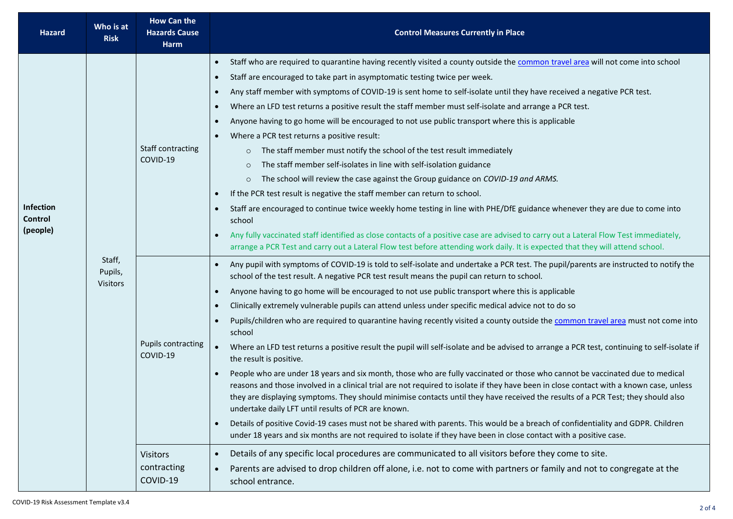| <b>Hazard</b>                           | Who is at<br><b>Risk</b>             | <b>How Can the</b><br><b>Hazards Cause</b><br><b>Harm</b>                           | <b>Control Measures Currently in Place</b>                                                                                                                                                                                                                                                                                                                                                                                                                                                                                                                                                                                                                                                                                                                                                                                                                                                                                                                                                                                                                                                                                                                                                                                                                                                                                                                                                                                                                                                                                                                                                                                                                                                                                                                                                                                                                          |
|-----------------------------------------|--------------------------------------|-------------------------------------------------------------------------------------|---------------------------------------------------------------------------------------------------------------------------------------------------------------------------------------------------------------------------------------------------------------------------------------------------------------------------------------------------------------------------------------------------------------------------------------------------------------------------------------------------------------------------------------------------------------------------------------------------------------------------------------------------------------------------------------------------------------------------------------------------------------------------------------------------------------------------------------------------------------------------------------------------------------------------------------------------------------------------------------------------------------------------------------------------------------------------------------------------------------------------------------------------------------------------------------------------------------------------------------------------------------------------------------------------------------------------------------------------------------------------------------------------------------------------------------------------------------------------------------------------------------------------------------------------------------------------------------------------------------------------------------------------------------------------------------------------------------------------------------------------------------------------------------------------------------------------------------------------------------------|
| <b>Infection</b><br>Control<br>(people) | Staff,<br>Pupils,<br><b>Visitors</b> | Staff contracting<br>COVID-19                                                       | Staff who are required to quarantine having recently visited a county outside the common travel area will not come into school<br>$\bullet$<br>Staff are encouraged to take part in asymptomatic testing twice per week.<br>$\bullet$<br>Any staff member with symptoms of COVID-19 is sent home to self-isolate until they have received a negative PCR test.<br>$\bullet$<br>Where an LFD test returns a positive result the staff member must self-isolate and arrange a PCR test.<br>$\bullet$<br>Anyone having to go home will be encouraged to not use public transport where this is applicable<br>$\bullet$<br>Where a PCR test returns a positive result:<br>The staff member must notify the school of the test result immediately<br>$\circ$<br>The staff member self-isolates in line with self-isolation guidance<br>$\circ$<br>The school will review the case against the Group guidance on COVID-19 and ARMS.<br>$\circ$<br>If the PCR test result is negative the staff member can return to school.<br>$\bullet$<br>Staff are encouraged to continue twice weekly home testing in line with PHE/DfE guidance whenever they are due to come into<br>$\bullet$<br>school<br>Any fully vaccinated staff identified as close contacts of a positive case are advised to carry out a Lateral Flow Test immediately,<br>arrange a PCR Test and carry out a Lateral Flow test before attending work daily. It is expected that they will attend school.                                                                                                                                                                                                                                                                                                                                                                                                  |
|                                         |                                      | <b>Pupils contracting</b><br>COVID-19<br><b>Visitors</b><br>contracting<br>COVID-19 | Any pupil with symptoms of COVID-19 is told to self-isolate and undertake a PCR test. The pupil/parents are instructed to notify the<br>$\bullet$<br>school of the test result. A negative PCR test result means the pupil can return to school.<br>Anyone having to go home will be encouraged to not use public transport where this is applicable<br>$\bullet$<br>Clinically extremely vulnerable pupils can attend unless under specific medical advice not to do so<br>$\bullet$<br>Pupils/children who are required to quarantine having recently visited a county outside the common travel area must not come into<br>$\bullet$<br>school<br>Where an LFD test returns a positive result the pupil will self-isolate and be advised to arrange a PCR test, continuing to self-isolate if<br>$\bullet$<br>the result is positive.<br>People who are under 18 years and six month, those who are fully vaccinated or those who cannot be vaccinated due to medical<br>reasons and those involved in a clinical trial are not required to isolate if they have been in close contact with a known case, unless<br>they are displaying symptoms. They should minimise contacts until they have received the results of a PCR Test; they should also<br>undertake daily LFT until results of PCR are known.<br>Details of positive Covid-19 cases must not be shared with parents. This would be a breach of confidentiality and GDPR. Children<br>$\bullet$<br>under 18 years and six months are not required to isolate if they have been in close contact with a positive case.<br>Details of any specific local procedures are communicated to all visitors before they come to site.<br>$\bullet$<br>Parents are advised to drop children off alone, i.e. not to come with partners or family and not to congregate at the<br>$\bullet$<br>school entrance. |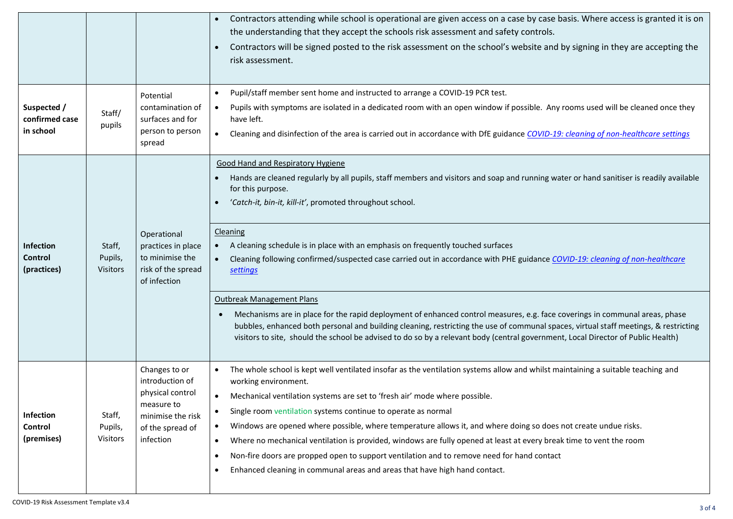| Suspected /<br>confirmed case<br>in school | Staff/<br>pupils                     | Potential<br>contamination of<br>surfaces and for<br>person to person<br>spread                                          | Contractors attending while school is operational are given access on a case by case basis. Where access is granted it is on<br>$\bullet$<br>the understanding that they accept the schools risk assessment and safety controls.<br>Contractors will be signed posted to the risk assessment on the school's website and by signing in they are accepting the<br>risk assessment.<br>Pupil/staff member sent home and instructed to arrange a COVID-19 PCR test.<br>$\bullet$<br>Pupils with symptoms are isolated in a dedicated room with an open window if possible. Any rooms used will be cleaned once they<br>$\bullet$<br>have left.<br>Cleaning and disinfection of the area is carried out in accordance with DfE guidance COVID-19: cleaning of non-healthcare settings<br>$\bullet$                                                                                                                                                                                                  |
|--------------------------------------------|--------------------------------------|--------------------------------------------------------------------------------------------------------------------------|-------------------------------------------------------------------------------------------------------------------------------------------------------------------------------------------------------------------------------------------------------------------------------------------------------------------------------------------------------------------------------------------------------------------------------------------------------------------------------------------------------------------------------------------------------------------------------------------------------------------------------------------------------------------------------------------------------------------------------------------------------------------------------------------------------------------------------------------------------------------------------------------------------------------------------------------------------------------------------------------------|
| Infection<br><b>Control</b><br>(practices) | Staff,<br>Pupils,<br><b>Visitors</b> | Operational<br>practices in place<br>to minimise the<br>risk of the spread<br>of infection                               | <b>Good Hand and Respiratory Hygiene</b><br>Hands are cleaned regularly by all pupils, staff members and visitors and soap and running water or hand sanitiser is readily available<br>for this purpose.<br>'Catch-it, bin-it, kill-it', promoted throughout school.<br>$\bullet$<br><b>Cleaning</b><br>A cleaning schedule is in place with an emphasis on frequently touched surfaces<br>$\bullet$<br>Cleaning following confirmed/suspected case carried out in accordance with PHE guidance COVID-19: cleaning of non-healthcare<br>settings<br><b>Outbreak Management Plans</b><br>Mechanisms are in place for the rapid deployment of enhanced control measures, e.g. face coverings in communal areas, phase<br>bubbles, enhanced both personal and building cleaning, restricting the use of communal spaces, virtual staff meetings, & restricting<br>visitors to site, should the school be advised to do so by a relevant body (central government, Local Director of Public Health) |
| <b>Infection</b><br>Control<br>(premises)  | Staff,<br>Pupils,<br><b>Visitors</b> | Changes to or<br>introduction of<br>physical control<br>measure to<br>minimise the risk<br>of the spread of<br>infection | The whole school is kept well ventilated insofar as the ventilation systems allow and whilst maintaining a suitable teaching and<br>$\bullet$<br>working environment.<br>Mechanical ventilation systems are set to 'fresh air' mode where possible.<br>$\bullet$<br>Single room ventilation systems continue to operate as normal<br>$\bullet$<br>Windows are opened where possible, where temperature allows it, and where doing so does not create undue risks.<br>$\bullet$<br>Where no mechanical ventilation is provided, windows are fully opened at least at every break time to vent the room<br>$\bullet$<br>Non-fire doors are propped open to support ventilation and to remove need for hand contact<br>$\bullet$<br>Enhanced cleaning in communal areas and areas that have high hand contact.<br>$\bullet$                                                                                                                                                                        |